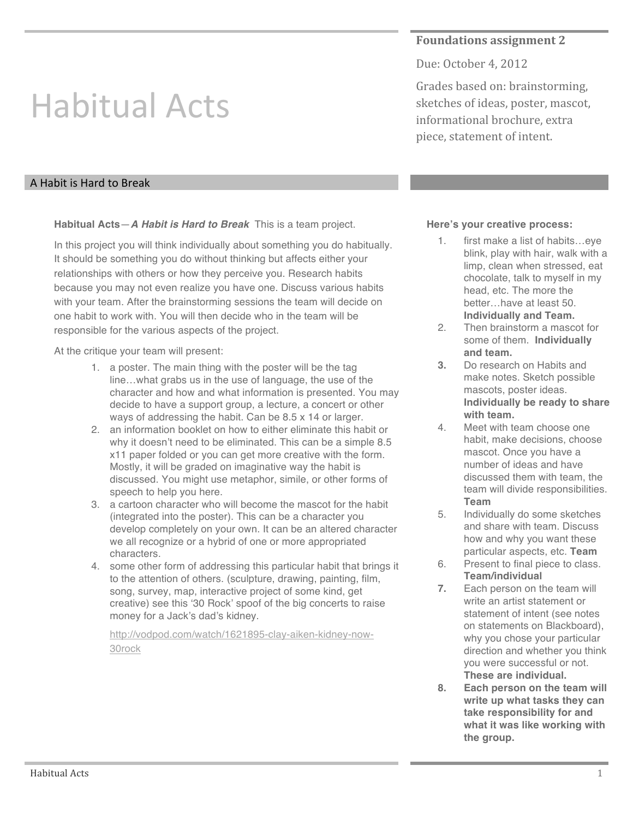## **Foundations assignment 2**

Due: October 4, 2012

Grades based on: brainstorming, sketches of ideas, poster, mascot, informational brochure, extra piece, statement of intent.

## A Habit is Hard to Break

Habitual Acts

**Habitual Acts**—*A Habit is Hard to Break* This is a team project.

In this project you will think individually about something you do habitually. It should be something you do without thinking but affects either your relationships with others or how they perceive you. Research habits because you may not even realize you have one. Discuss various habits with your team. After the brainstorming sessions the team will decide on one habit to work with. You will then decide who in the team will be responsible for the various aspects of the project.

At the critique your team will present:

- 1. a poster. The main thing with the poster will be the tag line…what grabs us in the use of language, the use of the character and how and what information is presented. You may decide to have a support group, a lecture, a concert or other ways of addressing the habit. Can be 8.5 x 14 or larger.
- 2. an information booklet on how to either eliminate this habit or why it doesn't need to be eliminated. This can be a simple 8.5 x11 paper folded or you can get more creative with the form. Mostly, it will be graded on imaginative way the habit is discussed. You might use metaphor, simile, or other forms of speech to help you here.
- 3. a cartoon character who will become the mascot for the habit (integrated into the poster). This can be a character you develop completely on your own. It can be an altered character we all recognize or a hybrid of one or more appropriated characters.
- 4. some other form of addressing this particular habit that brings it to the attention of others. (sculpture, drawing, painting, film, song, survey, map, interactive project of some kind, get creative) see this ʻ30 Rock' spoof of the big concerts to raise money for a Jack's dad's kidney.

http://vodpod.com/watch/1621895-clay-aiken-kidney-now-30rock

## **Here's your creative process:**

- 1. first make a list of habits…eye blink, play with hair, walk with a limp, clean when stressed, eat chocolate, talk to myself in my head, etc. The more the better…have at least 50. **Individually and Team.**
- 2. Then brainstorm a mascot for some of them. **Individually and team.**
- **3.** Do research on Habits and make notes. Sketch possible mascots, poster ideas. **Individually be ready to share with team.**
- 4. Meet with team choose one habit, make decisions, choose mascot. Once you have a number of ideas and have discussed them with team, the team will divide responsibilities. **Team**
- 5. Individually do some sketches and share with team. Discuss how and why you want these particular aspects, etc. **Team**
- 6. Present to final piece to class. **Team/individual**
- **7.** Each person on the team will write an artist statement or statement of intent (see notes on statements on Blackboard), why you chose your particular direction and whether you think you were successful or not. **These are individual.**
- **8. Each person on the team will write up what tasks they can take responsibility for and what it was like working with the group.**